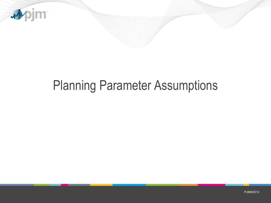

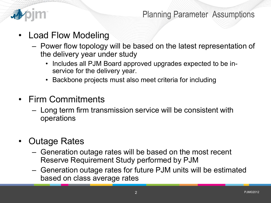

- Load Flow Modeling
	- Power flow topology will be based on the latest representation of the delivery year under study
		- Includes all PJM Board approved upgrades expected to be inservice for the delivery year.
		- Backbone projects must also meet criteria for including
- Firm Commitments
	- Long term firm transmission service will be consistent with operations
- Outage Rates
	- Generation outage rates will be based on the most recent Reserve Requirement Study performed by PJM
	- Generation outage rates for future PJM units will be estimated based on class average rates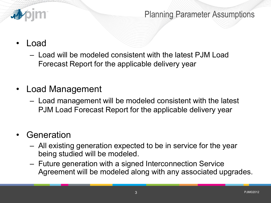

## • Load

- Load will be modeled consistent with the latest PJM Load Forecast Report for the applicable delivery year
- Load Management
	- Load management will be modeled consistent with the latest PJM Load Forecast Report for the applicable delivery year

## **Generation**

- All existing generation expected to be in service for the year being studied will be modeled.
- Future generation with a signed Interconnection Service Agreement will be modeled along with any associated upgrades.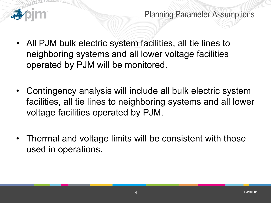

- All PJM bulk electric system facilities, all tie lines to neighboring systems and all lower voltage facilities operated by PJM will be monitored.
- Contingency analysis will include all bulk electric system facilities, all tie lines to neighboring systems and all lower voltage facilities operated by PJM.
- Thermal and voltage limits will be consistent with those used in operations.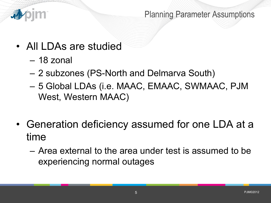

- All LDAs are studied
	- 18 zonal
	- 2 subzones (PS-North and Delmarva South)
	- 5 Global LDAs (i.e. MAAC, EMAAC, SWMAAC, PJM West, Western MAAC)
- Generation deficiency assumed for one LDA at a time
	- Area external to the area under test is assumed to be experiencing normal outages